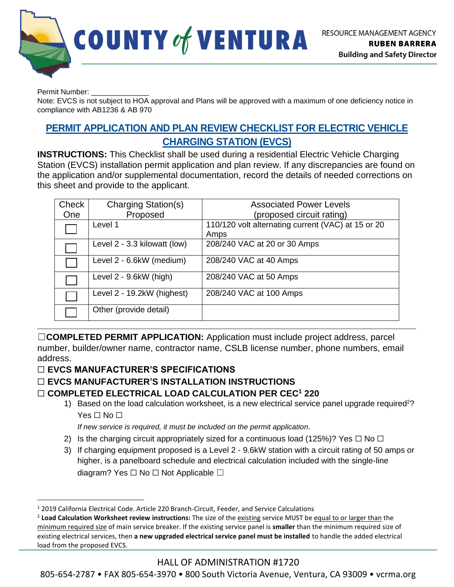

Permit Number:

Note: EVCS is not subject to HOA approval and Plans will be approved with a maximum of one deficiency notice in compliance with AB1236 & AB 970

# **PERMIT APPLICATION AND PLAN REVIEW CHECKLIST FOR ELECTRIC VEHICLE CHARGING STATION (EVCS)**

**INSTRUCTIONS:** This Checklist shall be used during a residential Electric Vehicle Charging Station (EVCS) installation permit application and plan review. If any discrepancies are found on the application and/or supplemental documentation, record the details of needed corrections on this sheet and provide to the applicant.

| Check<br><b>One</b> | Charging Station(s)<br>Proposed | <b>Associated Power Levels</b><br>(proposed circuit rating) |  |
|---------------------|---------------------------------|-------------------------------------------------------------|--|
|                     | Level 1                         | 110/120 volt alternating current (VAC) at 15 or 20<br>Amps  |  |
|                     | Level 2 - 3.3 kilowatt (low)    | 208/240 VAC at 20 or 30 Amps                                |  |
|                     | Level 2 - 6.6kW (medium)        | 208/240 VAC at 40 Amps                                      |  |
|                     | Level 2 - 9.6kW (high)          | 208/240 VAC at 50 Amps                                      |  |
|                     | Level 2 - 19.2kW (highest)      | 208/240 VAC at 100 Amps                                     |  |
|                     | Other (provide detail)          |                                                             |  |

☐**COMPLETED PERMIT APPLICATION:** Application must include project address, parcel number, builder/owner name, contractor name, CSLB license number, phone numbers, email address.

## ☐ **EVCS MANUFACTURER'S SPECIFICATIONS**

## ☐ **EVCS MANUFACTURER'S INSTALLATION INSTRUCTIONS**

#### ☐ **COMPLETED ELECTRICAL LOAD CALCULATION PER CEC<sup>1</sup> 220**

1) Based on the load calculation worksheet, is a new electrical service panel upgrade required<sup>2</sup>? Yes □ No □

*If new service is required, it must be included on the permit application*.

- 2) Is the charging circuit appropriately sized for a continuous load (125%)? Yes  $\Box$  No  $\Box$
- 3) If charging equipment proposed is a Level 2 9.6kW station with a circuit rating of 50 amps or higher, is a panelboard schedule and electrical calculation included with the single-line diagram? Yes □ No □ Not Applicable □

## HALL OF ADMINISTRATION #1720

805-654-2787 • FAX 805-654-3970 • 800 South Victoria Avenue, Ventura, CA 93009 • vcrma.org

<sup>1</sup> 2019 California Electrical Code. Article 220 Branch-Circuit, Feeder, and Service Calculations

<sup>&</sup>lt;sup>2</sup> Load Calculation Worksheet review instructions: The size of the existing service MUST be equal to or larger than the minimum required size of main service breaker. If the existing service panel is **smaller** than the minimum required size of existing electrical services, then **a new upgraded electrical service panel must be installed** to handle the added electrical load from the proposed EVCS.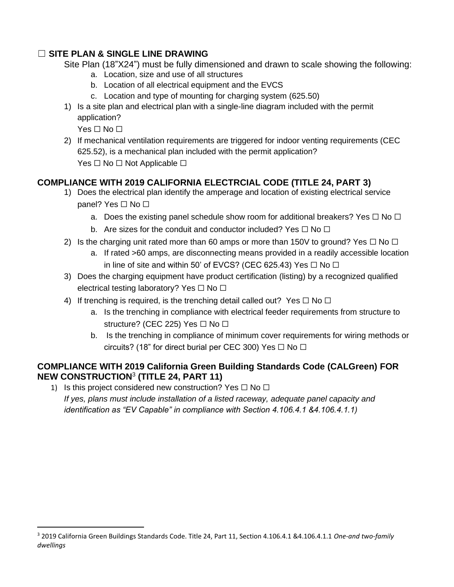### ☐ **SITE PLAN & SINGLE LINE DRAWING**

Site Plan (18"X24") must be fully dimensioned and drawn to scale showing the following:

- a. Location, size and use of all structures
- b. Location of all electrical equipment and the EVCS
- c. Location and type of mounting for charging system (625.50)
- 1) Is a site plan and electrical plan with a single-line diagram included with the permit application?

 $Yes \sqcap No \sqcap$ 

2) If mechanical ventilation requirements are triggered for indoor venting requirements (CEC 625.52), is a mechanical plan included with the permit application? Yes □ No □ Not Applicable □

# **COMPLIANCE WITH 2019 CALIFORNIA ELECTRCIAL CODE (TITLE 24, PART 3)**

- 1) Does the electrical plan identify the amperage and location of existing electrical service panel? Yes □ No □
	- a. Does the existing panel schedule show room for additional breakers? Yes  $\Box$  No  $\Box$
	- b. Are sizes for the conduit and conductor included? Yes  $\Box$  No  $\Box$
- 2) Is the charging unit rated more than 60 amps or more than 150V to ground? Yes  $\Box$  No  $\Box$ 
	- a. If rated >60 amps, are disconnecting means provided in a readily accessible location in line of site and within 50' of EVCS? (CEC 625.43) Yes  $\Box$  No  $\Box$
- 3) Does the charging equipment have product certification (listing) by a recognized qualified electrical testing laboratory? Yes □ No □
- 4) If trenching is required, is the trenching detail called out? Yes  $\Box$  No  $\Box$ 
	- a. Is the trenching in compliance with electrical feeder requirements from structure to structure? (CEC 225) Yes □ No □
	- b. Is the trenching in compliance of minimum cover requirements for wiring methods or circuits? (18" for direct burial per CEC 300) Yes  $\Box$  No  $\Box$

### **COMPLIANCE WITH 2019 California Green Building Standards Code (CALGreen) FOR NEW CONSTRUCTION**<sup>3</sup> **(TITLE 24, PART 11)**

1) Is this project considered new construction? Yes  $\Box$  No  $\Box$ *If yes, plans must include installation of a listed raceway, adequate panel capacity and identification as "EV Capable" in compliance with Section 4.106.4.1 &4.106.4.1.1)*

<sup>3</sup> 2019 California Green Buildings Standards Code. Title 24, Part 11, Section 4.106.4.1 &4.106.4.1.1 *One-and two-family dwellings*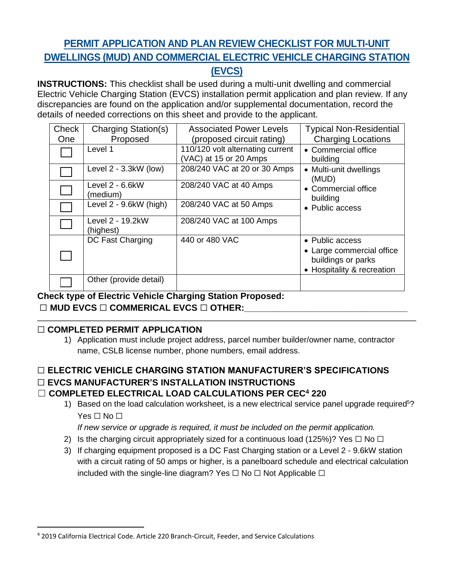# **PERMIT APPLICATION AND PLAN REVIEW CHECKLIST FOR MULTI-UNIT DWELLINGS (MUD) AND COMMERCIAL ELECTRIC VEHICLE CHARGING STATION (EVCS)**

**INSTRUCTIONS:** This checklist shall be used during a multi-unit dwelling and commercial Electric Vehicle Charging Station (EVCS) installation permit application and plan review. If any discrepancies are found on the application and/or supplemental documentation, record the details of needed corrections on this sheet and provide to the applicant.

| Check<br><b>One</b> | Charging Station(s)<br>Proposed | <b>Associated Power Levels</b><br>(proposed circuit rating) | <b>Typical Non-Residential</b><br><b>Charging Locations</b>                                      |
|---------------------|---------------------------------|-------------------------------------------------------------|--------------------------------------------------------------------------------------------------|
|                     | Level 1                         | 110/120 volt alternating current<br>(VAC) at 15 or 20 Amps  | • Commercial office<br>building                                                                  |
|                     | Level $2 - 3.3$ kW (low)        | 208/240 VAC at 20 or 30 Amps                                | • Multi-unit dwellings<br>(MUD)                                                                  |
|                     | Level $2 - 6.6$ kW<br>(medium)  | 208/240 VAC at 40 Amps                                      | • Commercial office<br>building<br>• Public access                                               |
|                     | Level 2 - 9.6kW (high)          | 208/240 VAC at 50 Amps                                      |                                                                                                  |
|                     | Level 2 - 19.2kW<br>(highest)   | 208/240 VAC at 100 Amps                                     |                                                                                                  |
|                     | DC Fast Charging                | 440 or 480 VAC                                              | • Public access<br>• Large commercial office<br>buildings or parks<br>• Hospitality & recreation |
|                     | Other (provide detail)          |                                                             |                                                                                                  |

**Check type of Electric Vehicle Charging Station Proposed:** 

## ☐ **MUD EVCS** ☐ **COMMERICAL EVCS** ☐ **OTHER:\_\_\_\_\_\_\_\_\_\_\_\_\_\_\_\_\_\_\_\_\_\_\_\_\_\_\_\_\_\_\_\_\_**

# ☐ **COMPLETED PERMIT APPLICATION**

# ☐ **ELECTRIC VEHICLE CHARGING STATION MANUFACTURER'S SPECIFICATIONS**  ☐ **EVCS MANUFACTURER'S INSTALLATION INSTRUCTIONS**

## ☐ **COMPLETED ELECTRICAL LOAD CALCULATIONS PER CEC<sup>4</sup> 220**

1) Based on the load calculation worksheet, is a new electrical service panel upgrade required<sup>5</sup>? Yes □ No □

*If new service or upgrade is required, it must be included on the permit application.*

- 2) Is the charging circuit appropriately sized for a continuous load (125%)? Yes  $\Box$  No  $\Box$
- 3) If charging equipment proposed is a DC Fast Charging station or a Level 2 9.6kW station with a circuit rating of 50 amps or higher, is a panelboard schedule and electrical calculation included with the single-line diagram? Yes  $\Box$  No  $\Box$  Not Applicable  $\Box$

<sup>1)</sup> Application must include project address, parcel number builder/owner name, contractor name, CSLB license number, phone numbers, email address.

<sup>4</sup> 2019 California Electrical Code. Article 220 Branch-Circuit, Feeder, and Service Calculations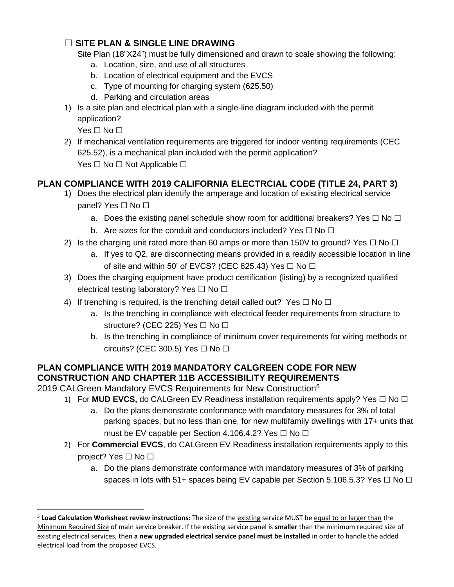#### ☐ **SITE PLAN & SINGLE LINE DRAWING**

Site Plan (18"X24") must be fully dimensioned and drawn to scale showing the following:

- a. Location, size, and use of all structures
- b. Location of electrical equipment and the EVCS
- c. Type of mounting for charging system (625.50)
- d. Parking and circulation areas
- 1) Is a site plan and electrical plan with a single-line diagram included with the permit application?

Yes □ No □

2) If mechanical ventilation requirements are triggered for indoor venting requirements (CEC 625.52), is a mechanical plan included with the permit application? Yes □ No □ Not Applicable □

# **PLAN COMPLIANCE WITH 2019 CALIFORNIA ELECTRCIAL CODE (TITLE 24, PART 3)**

- 1) Does the electrical plan identify the amperage and location of existing electrical service panel? Yes □ No □
	- a. Does the existing panel schedule show room for additional breakers? Yes  $\Box$  No  $\Box$
	- b. Are sizes for the conduit and conductors included? Yes  $\Box$  No  $\Box$
- 2) Is the charging unit rated more than 60 amps or more than 150V to ground? Yes  $\Box$  No  $\Box$ 
	- a. If yes to Q2, are disconnecting means provided in a readily accessible location in line of site and within 50' of EVCS? (CEC 625.43) Yes  $\Box$  No  $\Box$
- 3) Does the charging equipment have product certification (listing) by a recognized qualified electrical testing laboratory? Yes  $\Box$  No  $\Box$
- 4) If trenching is required, is the trenching detail called out? Yes  $\Box$  No  $\Box$ 
	- a. Is the trenching in compliance with electrical feeder requirements from structure to structure? (CEC 225) Yes  $\Box$  No  $\Box$
	- b. Is the trenching in compliance of minimum cover requirements for wiring methods or circuits? (CEC 300.5) Yes  $\Box$  No  $\Box$

### **PLAN COMPLIANCE WITH 2019 MANDATORY CALGREEN CODE FOR NEW CONSTRUCTION AND CHAPTER 11B ACCESSIBILITY REQUIREMENTS**

2019 CALGreen Mandatory EVCS Requirements for New Construction<sup>6</sup>

- 1) For **MUD EVCS**, do CALGreen EV Readiness installation requirements apply? Yes □ No □
	- a. Do the plans demonstrate conformance with mandatory measures for 3% of total parking spaces, but no less than one, for new multifamily dwellings with 17+ units that must be EV capable per Section 4.106.4.2? Yes  $\Box$  No  $\Box$
- 2) For **Commercial EVCS**, do CALGreen EV Readiness installation requirements apply to this project? Yes □ No □
	- a. Do the plans demonstrate conformance with mandatory measures of 3% of parking spaces in lots with 51+ spaces being EV capable per Section 5.106.5.3? Yes  $\Box$  No  $\Box$

<sup>&</sup>lt;sup>5</sup> Load Calculation Worksheet review instructions: The size of the existing service MUST be equal to or larger than the Minimum Required Size of main service breaker. If the existing service panel is **smaller** than the minimum required size of existing electrical services, then **a new upgraded electrical service panel must be installed** in order to handle the added electrical load from the proposed EVCS.